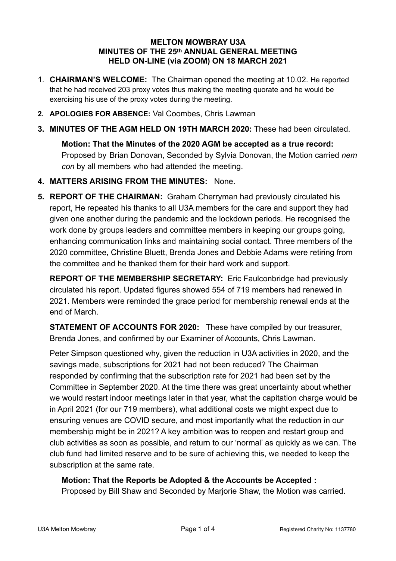#### **MELTON MOWBRAY U3A MINUTES OF THE 25th ANNUAL GENERAL MEETING HELD ON-LINE (via ZOOM) ON 18 MARCH 2021**

- 1. **CHAIRMAN'S WELCOME:** The Chairman opened the meeting at 10.02. He reported that he had received 203 proxy votes thus making the meeting quorate and he would be exercising his use of the proxy votes during the meeting.
- **2. APOLOGIES FOR ABSENCE:** Val Coombes, Chris Lawman
- **3. MINUTES OF THE AGM HELD ON 19TH MARCH 2020:** These had been circulated.

**Motion: That the Minutes of the 2020 AGM be accepted as a true record:** Proposed by Brian Donovan, Seconded by Sylvia Donovan, the Motion carried *nem con* by all members who had attended the meeting.

- **4. MATTERS ARISING FROM THE MINUTES:** None.
- **5. REPORT OF THE CHAIRMAN:** Graham Cherryman had previously circulated his report, He repeated his thanks to all U3A members for the care and support they had given one another during the pandemic and the lockdown periods. He recognised the work done by groups leaders and committee members in keeping our groups going, enhancing communication links and maintaining social contact. Three members of the 2020 committee, Christine Bluett, Brenda Jones and Debbie Adams were retiring from the committee and he thanked them for their hard work and support.

**REPORT OF THE MEMBERSHIP SECRETARY:** Eric Faulconbridge had previously circulated his report. Updated figures showed 554 of 719 members had renewed in 2021. Members were reminded the grace period for membership renewal ends at the end of March.

**STATEMENT OF ACCOUNTS FOR 2020:** These have compiled by our treasurer, Brenda Jones, and confirmed by our Examiner of Accounts, Chris Lawman.

Peter Simpson questioned why, given the reduction in U3A activities in 2020, and the savings made, subscriptions for 2021 had not been reduced? The Chairman responded by confirming that the subscription rate for 2021 had been set by the Committee in September 2020. At the time there was great uncertainty about whether we would restart indoor meetings later in that year, what the capitation charge would be in April 2021 (for our 719 members), what additional costs we might expect due to ensuring venues are COVID secure, and most importantly what the reduction in our membership might be in 2021? A key ambition was to reopen and restart group and club activities as soon as possible, and return to our 'normal' as quickly as we can. The club fund had limited reserve and to be sure of achieving this, we needed to keep the subscription at the same rate.

**Motion: That the Reports be Adopted & the Accounts be Accepted :** Proposed by Bill Shaw and Seconded by Marjorie Shaw, the Motion was carried.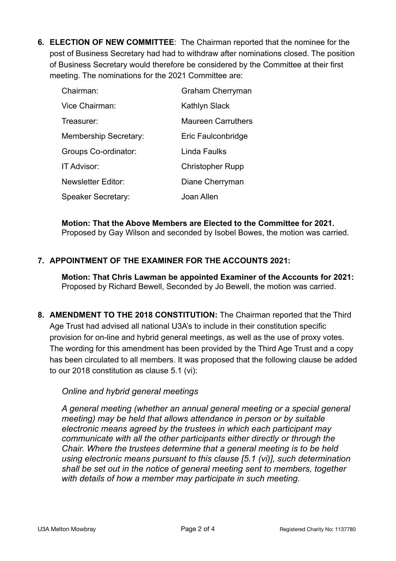**6. ELECTION OF NEW COMMITTEE**: The Chairman reported that the nominee for the post of Business Secretary had had to withdraw after nominations closed. The position of Business Secretary would therefore be considered by the Committee at their first meeting. The nominations for the 2021 Committee are:

| Chairman:                    | <b>Graham Cherryman</b>   |
|------------------------------|---------------------------|
| Vice Chairman:               | Kathlyn Slack             |
| Treasurer:                   | <b>Maureen Carruthers</b> |
| <b>Membership Secretary:</b> | Eric Faulconbridge        |
| Groups Co-ordinator:         | Linda Faulks              |
| IT Advisor:                  | <b>Christopher Rupp</b>   |
| <b>Newsletter Editor:</b>    | Diane Cherryman           |
| <b>Speaker Secretary:</b>    | Joan Allen                |

**Motion: That the Above Members are Elected to the Committee for 2021.**  Proposed by Gay Wilson and seconded by Isobel Bowes, the motion was carried.

## **7. APPOINTMENT OF THE EXAMINER FOR THE ACCOUNTS 2021:**

**Motion: That Chris Lawman be appointed Examiner of the Accounts for 2021:**  Proposed by Richard Bewell, Seconded by Jo Bewell, the motion was carried.

**8. AMENDMENT TO THE 2018 CONSTITUTION:** The Chairman reported that the Third Age Trust had advised all national U3A's to include in their constitution specific provision for on-line and hybrid general meetings, as well as the use of proxy votes. The wording for this amendment has been provided by the Third Age Trust and a copy has been circulated to all members. It was proposed that the following clause be added to our 2018 constitution as clause 5.1 (vi):

### *Online and hybrid general meetings*

*A general meeting (whether an annual general meeting or a special general meeting) may be held that allows attendance in person or by suitable electronic means agreed by the trustees in which each participant may communicate with all the other participants either directly or through the Chair. Where the trustees determine that a general meeting is to be held using electronic means pursuant to this clause [5.1 (vi)], such determination shall be set out in the notice of general meeting sent to members, together with details of how a member may participate in such meeting.*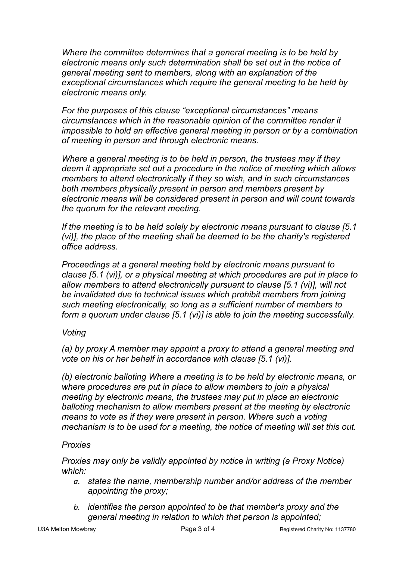*Where the committee determines that a general meeting is to be held by electronic means only such determination shall be set out in the notice of general meeting sent to members, along with an explanation of the exceptional circumstances which require the general meeting to be held by electronic means only.* 

*For the purposes of this clause "exceptional circumstances" means circumstances which in the reasonable opinion of the committee render it impossible to hold an effective general meeting in person or by a combination of meeting in person and through electronic means.* 

*Where a general meeting is to be held in person, the trustees may if they deem it appropriate set out a procedure in the notice of meeting which allows members to attend electronically if they so wish, and in such circumstances both members physically present in person and members present by electronic means will be considered present in person and will count towards the quorum for the relevant meeting.* 

*If the meeting is to be held solely by electronic means pursuant to clause [5.1 (vi)], the place of the meeting shall be deemed to be the charity's registered office address.* 

*Proceedings at a general meeting held by electronic means pursuant to clause [5.1 (vi)], or a physical meeting at which procedures are put in place to allow members to attend electronically pursuant to clause [5.1 (vi)], will not be invalidated due to technical issues which prohibit members from joining such meeting electronically, so long as a sufficient number of members to form a quorum under clause [5.1 (vi)] is able to join the meeting successfully.* 

# *Voting*

*(a) by proxy A member may appoint a proxy to attend a general meeting and vote on his or her behalf in accordance with clause [5.1 (vi)].* 

*(b) electronic balloting Where a meeting is to be held by electronic means, or where procedures are put in place to allow members to join a physical meeting by electronic means, the trustees may put in place an electronic balloting mechanism to allow members present at the meeting by electronic means to vote as if they were present in person. Where such a voting mechanism is to be used for a meeting, the notice of meeting will set this out.*

# *Proxies*

*Proxies may only be validly appointed by notice in writing (a Proxy Notice) which:* 

- *a. states the name, membership number and/or address of the member appointing the proxy;*
- *b. identifies the person appointed to be that member's proxy and the general meeting in relation to which that person is appointed;*